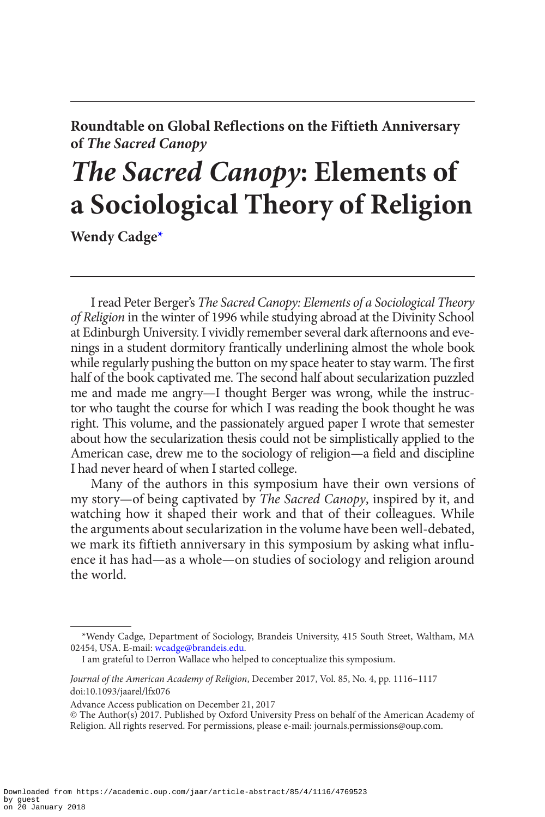**Roundtable on Global Reflections on the Fiftieth Anniversary of** *The Sacred Canopy*

## *The Sacred Canopy***: Elements of a Sociological Theory of Religion**

**Wendy Cadge[\\*](#page-0-0)**

I read Peter Berger's *The Sacred Canopy: Elements of a Sociological Theory of Religion* in the winter of 1996 while studying abroad at the Divinity School at Edinburgh University. I vividly remember several dark afternoons and evenings in a student dormitory frantically underlining almost the whole book while regularly pushing the button on my space heater to stay warm. The first half of the book captivated me. The second half about secularization puzzled me and made me angry—I thought Berger was wrong, while the instructor who taught the course for which I was reading the book thought he was right. This volume, and the passionately argued paper I wrote that semester about how the secularization thesis could not be simplistically applied to the American case, drew me to the sociology of religion—a field and discipline I had never heard of when I started college.

Many of the authors in this symposium have their own versions of my story—of being captivated by *The Sacred Canopy*, inspired by it, and watching how it shaped their work and that of their colleagues. While the arguments about secularization in the volume have been well-debated, we mark its fiftieth anniversary in this symposium by asking what influence it has had—as a whole—on studies of sociology and religion around the world.

Advance Access publication on December 21, 2017

<span id="page-0-0"></span><sup>\*</sup>Wendy Cadge, Department of Sociology, Brandeis University, 415 South Street, Waltham, MA 02454, USA. E-mail: [wcadge@brandeis.edu](mailto:wcadge@brandeis.edu?subject=).

I am grateful to Derron Wallace who helped to conceptualize this symposium.

*Journal of the American Academy of Religion*, December 2017, Vol. 85, No. 4, pp. 1116–1117 doi:10.1093/jaarel/lfx076

<sup>©</sup> The Author(s) 2017. Published by Oxford University Press on behalf of the American Academy of Religion. All rights reserved. For permissions, please e-mail: journals.permissions@oup.com.